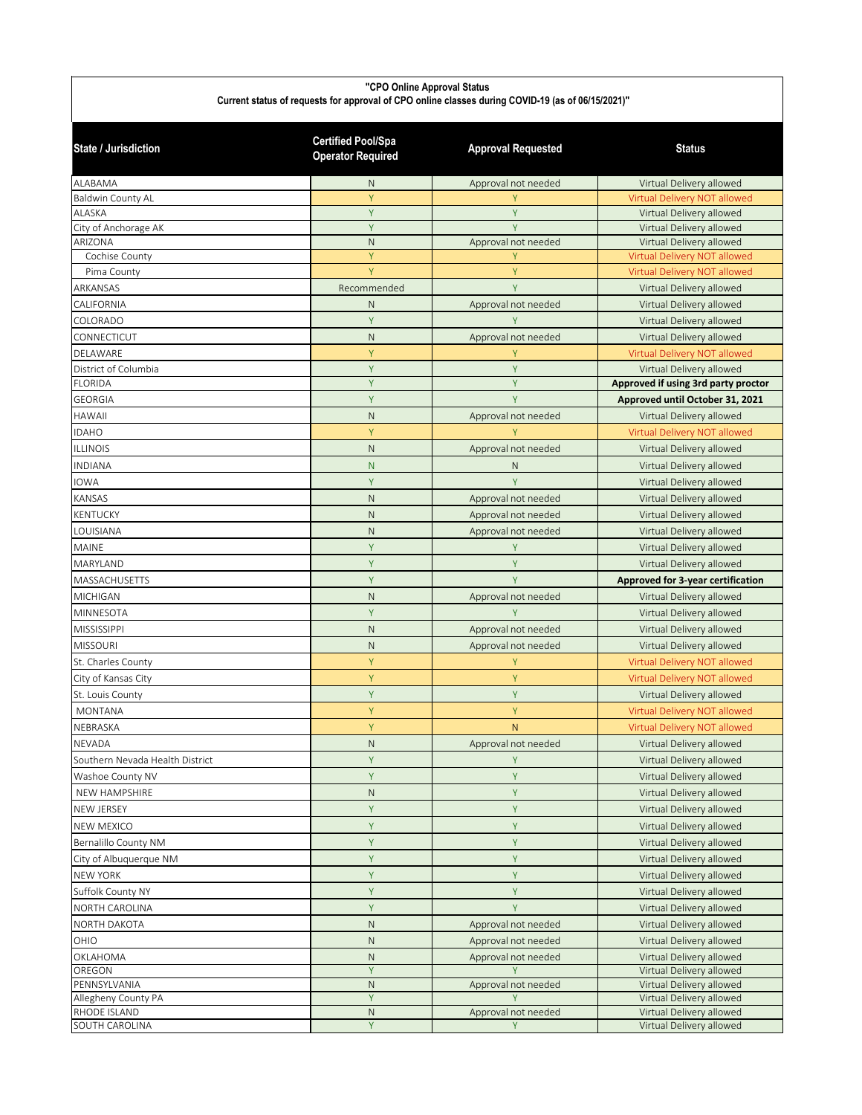## **"CPO Online Approval Status** Current status of requests for approval of CPO online classes during COVID-19 (as of 06/15/2021)"

| <b>State / Jurisdiction</b>     | <b>Certified Pool/Spa</b><br><b>Operator Required</b> | <b>Approval Requested</b> | <b>Status</b>                                        |
|---------------------------------|-------------------------------------------------------|---------------------------|------------------------------------------------------|
| ALABAMA                         | N                                                     | Approval not needed       | Virtual Delivery allowed                             |
| <b>Baldwin County AL</b>        | Ÿ                                                     |                           | Virtual Delivery NOT allowed                         |
| <b>ALASKA</b>                   | Ÿ                                                     | Y                         | Virtual Delivery allowed                             |
| City of Anchorage AK            | Ÿ                                                     | Ÿ                         | Virtual Delivery allowed                             |
| ARIZONA                         | N                                                     | Approval not needed       | Virtual Delivery allowed                             |
| Cochise County                  | Ÿ                                                     | Y                         | Virtual Delivery NOT allowed                         |
| Pima County                     | Y                                                     | Y                         | Virtual Delivery NOT allowed                         |
| ARKANSAS                        | Recommended                                           | Y                         | Virtual Delivery allowed                             |
| CALIFORNIA                      | N                                                     | Approval not needed       | Virtual Delivery allowed                             |
| COLORADO                        | Y                                                     | Y                         | Virtual Delivery allowed                             |
| CONNECTICUT                     | N                                                     | Approval not needed       | Virtual Delivery allowed                             |
| DELAWARE                        | Y                                                     | Υ                         | Virtual Delivery NOT allowed                         |
| District of Columbia            | Y                                                     | Y                         | Virtual Delivery allowed                             |
| <b>FLORIDA</b>                  | Ÿ                                                     | Ÿ                         | Approved if using 3rd party proctor                  |
| <b>GEORGIA</b>                  | Y                                                     | Y                         | Approved until October 31, 2021                      |
| HAWAII                          | N                                                     | Approval not needed       | Virtual Delivery allowed                             |
| <b>IDAHO</b>                    | Y                                                     |                           | Virtual Delivery NOT allowed                         |
| <b>ILLINOIS</b>                 | N                                                     | Approval not needed       | Virtual Delivery allowed                             |
| <b>INDIANA</b>                  | N                                                     | $\mathsf{N}$              | Virtual Delivery allowed                             |
| <b>IOWA</b>                     | Y                                                     | Ÿ                         | Virtual Delivery allowed                             |
| KANSAS                          | N                                                     | Approval not needed       | Virtual Delivery allowed                             |
| <b>KENTUCKY</b>                 | $\mathsf{N}$                                          | Approval not needed       | Virtual Delivery allowed                             |
| LOUISIANA                       | $\mathsf{N}$                                          | Approval not needed       | Virtual Delivery allowed                             |
| <b>MAINE</b>                    | Y                                                     | Υ                         | Virtual Delivery allowed                             |
| MARYLAND                        | Y                                                     | Υ                         | Virtual Delivery allowed                             |
| MASSACHUSETTS                   | Ÿ                                                     | Ÿ                         |                                                      |
| <b>MICHIGAN</b>                 | $\mathsf{N}$                                          |                           | Approved for 3-year certification                    |
|                                 |                                                       | Approval not needed       | Virtual Delivery allowed                             |
| MINNESOTA                       | Y                                                     | Y                         | Virtual Delivery allowed                             |
| <b>MISSISSIPPI</b>              | N                                                     | Approval not needed       | Virtual Delivery allowed                             |
| <b>MISSOURI</b>                 | $\mathsf{N}$                                          | Approval not needed       | Virtual Delivery allowed                             |
| St. Charles County              | Y                                                     | Y                         | Virtual Delivery NOT allowed                         |
| City of Kansas City             | Y                                                     | Y                         | Virtual Delivery NOT allowed                         |
| St. Louis County                | Y                                                     | Υ                         | Virtual Delivery allowed                             |
| <b>MONTANA</b>                  | Y                                                     | Υ                         | Virtual Delivery NOT allowed                         |
| NEBRASKA                        | Y                                                     | N                         | Virtual Delivery NOT allowed                         |
| NEVADA                          | $\mathsf{N}$                                          | Approval not needed       | Virtual Delivery allowed                             |
| Southern Nevada Health District | Y                                                     | Υ                         | Virtual Delivery allowed                             |
| Washoe County NV                | Y                                                     | Y                         | Virtual Delivery allowed                             |
| NEW HAMPSHIRE                   | $\mathsf N$                                           | Y                         | Virtual Delivery allowed                             |
| NEW JERSEY                      | Υ                                                     | Y                         | Virtual Delivery allowed                             |
| NEW MEXICO                      | Υ                                                     | Y                         | Virtual Delivery allowed                             |
| Bernalillo County NM            | Y                                                     | Y                         | Virtual Delivery allowed                             |
| City of Albuquerque NM          | Y                                                     | Υ                         | Virtual Delivery allowed                             |
| <b>NEW YORK</b>                 | Υ                                                     | Υ                         | Virtual Delivery allowed                             |
| Suffolk County NY               | Y                                                     | Y                         | Virtual Delivery allowed                             |
| NORTH CAROLINA                  | Ÿ                                                     | Y                         | Virtual Delivery allowed                             |
|                                 | $\mathsf{N}$                                          |                           |                                                      |
| NORTH DAKOTA                    |                                                       | Approval not needed       | Virtual Delivery allowed                             |
| OHIO                            | $\mathsf{N}$                                          | Approval not needed       | Virtual Delivery allowed                             |
| OKLAHOMA<br>OREGON              | ${\sf N}$<br>Y                                        | Approval not needed       | Virtual Delivery allowed<br>Virtual Delivery allowed |
| PENNSYLVANIA                    | $\mathsf{N}$                                          | Approval not needed       | Virtual Delivery allowed                             |
| Allegheny County PA             | Y                                                     |                           | Virtual Delivery allowed                             |
| RHODE ISLAND                    | $\mathsf{N}$                                          | Approval not needed       | Virtual Delivery allowed                             |
| SOUTH CAROLINA                  | Y                                                     | Y                         | Virtual Delivery allowed                             |